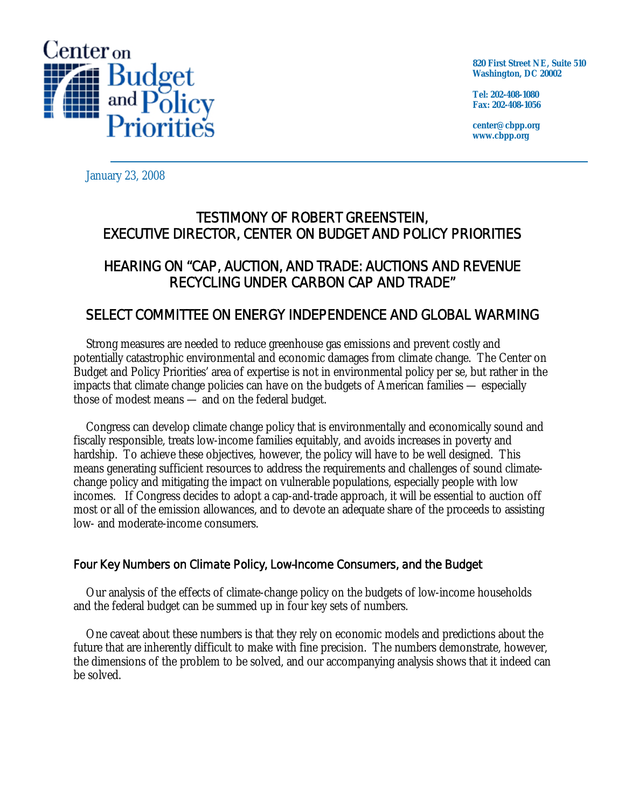

**820 First Street NE, Suite 510 Washington, DC 20002** 

**Tel: 202-408-1080 Fax: 202-408-1056** 

**center@cbpp.org www.cbpp.org** 

January 23, 2008

# TESTIMONY OF ROBERT GREENSTEIN, EXECUTIVE DIRECTOR, CENTER ON BUDGET AND POLICY PRIORITIES

## HEARING ON "CAP, AUCTION, AND TRADE: AUCTIONS AND REVENUE RECYCLING UNDER CARBON CAP AND TRADE"

## SELECT COMMITTEE ON ENERGY INDEPENDENCE AND GLOBAL WARMING

 Strong measures are needed to reduce greenhouse gas emissions and prevent costly and potentially catastrophic environmental and economic damages from climate change. The Center on Budget and Policy Priorities' area of expertise is not in environmental policy per se, but rather in the impacts that climate change policies can have on the budgets of American families — especially those of modest means — and on the federal budget.

 Congress can develop climate change policy that is environmentally and economically sound and fiscally responsible, treats low-income families equitably, and avoids increases in poverty and hardship. To achieve these objectives, however, the policy will have to be well designed. This means generating sufficient resources to address the requirements and challenges of sound climatechange policy and mitigating the impact on vulnerable populations, especially people with low incomes. If Congress decides to adopt a cap-and-trade approach, it will be essential to auction off most or all of the emission allowances, and to devote an adequate share of the proceeds to assisting low- and moderate-income consumers.

## Four Key Numbers on Climate Policy, Low-Income Consumers, and the Budget

 Our analysis of the effects of climate-change policy on the budgets of low-income households and the federal budget can be summed up in four key sets of numbers.

 One caveat about these numbers is that they rely on economic models and predictions about the future that are inherently difficult to make with fine precision. The numbers demonstrate, however, the dimensions of the problem to be solved, and our accompanying analysis shows that it indeed can be solved.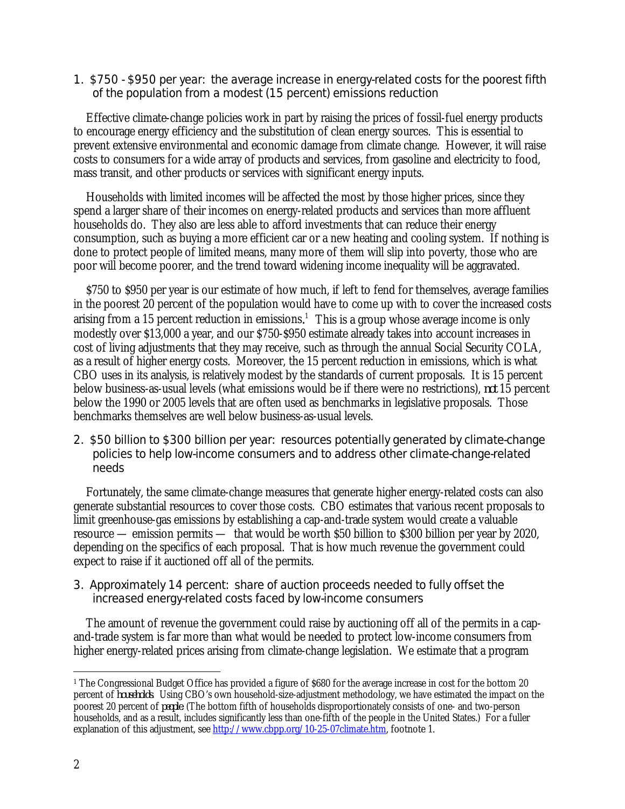#### 1. \$750 - \$950 per year: the average increase in energy-related costs for the poorest fifth of the population from a modest (15 percent) emissions reduction

 Effective climate-change policies work in part by raising the prices of fossil-fuel energy products to encourage energy efficiency and the substitution of clean energy sources. This is essential to prevent extensive environmental and economic damage from climate change. However, it will raise costs to consumers for a wide array of products and services, from gasoline and electricity to food, mass transit, and other products or services with significant energy inputs.

 Households with limited incomes will be affected the most by those higher prices, since they spend a larger share of their incomes on energy-related products and services than more affluent households do. They also are less able to afford investments that can reduce their energy consumption, such as buying a more efficient car or a new heating and cooling system. If nothing is done to protect people of limited means, many more of them will slip into poverty, those who are poor will become poorer, and the trend toward widening income inequality will be aggravated.

 \$750 to \$950 per year is our estimate of how much, if left to fend for themselves, average families in the poorest 20 percent of the population would have to come up with to cover the increased costs arising from a 15 percent reduction in emissions.<sup>1</sup> This is a group whose average income is only modestly over \$13,000 a year, and our \$750-\$950 estimate already takes into account increases in cost of living adjustments that they may receive, such as through the annual Social Security COLA, as a result of higher energy costs. Moreover, the 15 percent reduction in emissions, which is what CBO uses in its analysis, is relatively modest by the standards of current proposals. It is 15 percent below business-as-usual levels (what emissions would be if there were no restrictions), *not* 15 percent below the 1990 or 2005 levels that are often used as benchmarks in legislative proposals. Those benchmarks themselves are well below business-as-usual levels.

### 2. \$50 billion to \$300 billion per year: resources potentially generated by climate-change policies to help low-income consumers and to address other climate-change-related needs

 Fortunately, the same climate-change measures that generate higher energy-related costs can also generate substantial resources to cover those costs. CBO estimates that various recent proposals to limit greenhouse-gas emissions by establishing a cap-and-trade system would create a valuable resource — emission permits — that would be worth \$50 billion to \$300 billion per year by 2020, depending on the specifics of each proposal. That is how much revenue the government could expect to raise if it auctioned off all of the permits.

## 3. Approximately 14 percent: share of auction proceeds needed to fully offset the increased energy-related costs faced by low-income consumers

 The amount of revenue the government could raise by auctioning off all of the permits in a capand-trade system is far more than what would be needed to protect low-income consumers from higher energy-related prices arising from climate-change legislation. We estimate that a program

 $\overline{a}$ <sup>1</sup> The Congressional Budget Office has provided a figure of \$680 for the average increase in cost for the bottom 20 percent of *households*. Using CBO's own household-size-adjustment methodology, we have estimated the impact on the poorest 20 percent of *people*. (The bottom fifth of households disproportionately consists of one- and two-person households, and as a result, includes significantly less than one-fifth of the people in the United States.) For a fuller explanation of this adjustment, see http://www.cbpp.org/10-25-07climate.htm, footnote 1.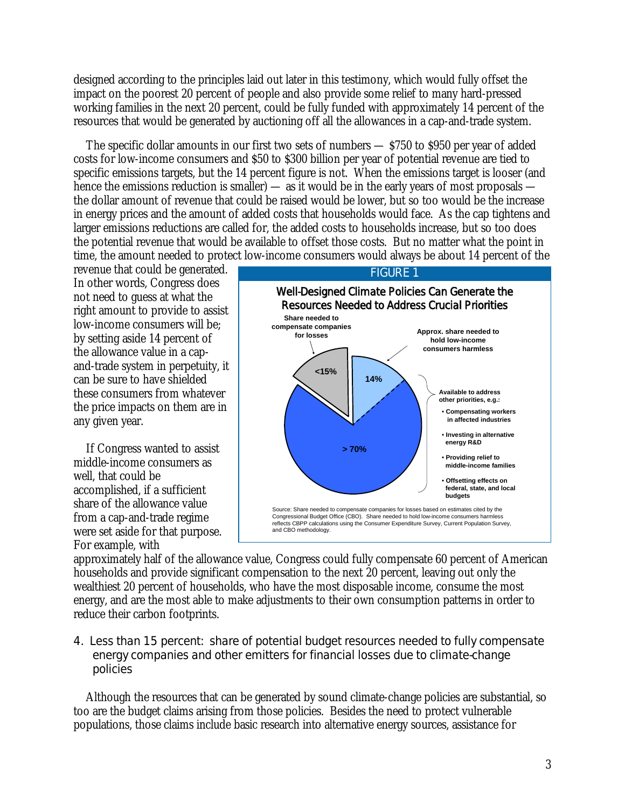designed according to the principles laid out later in this testimony, which would fully offset the impact on the poorest 20 percent of people and also provide some relief to many hard-pressed working families in the next 20 percent, could be fully funded with approximately 14 percent of the resources that would be generated by auctioning off all the allowances in a cap-and-trade system.

 The specific dollar amounts in our first two sets of numbers — \$750 to \$950 per year of added costs for low-income consumers and \$50 to \$300 billion per year of potential revenue are tied to specific emissions targets, but the 14 percent figure is not. When the emissions target is looser (and hence the emissions reduction is smaller) — as it would be in the early years of most proposals the dollar amount of revenue that could be raised would be lower, but so too would be the increase in energy prices and the amount of added costs that households would face. As the cap tightens and larger emissions reductions are called for, the added costs to households increase, but so too does the potential revenue that would be available to offset those costs. But no matter what the point in time, the amount needed to protect low-income consumers would always be about 14 percent of the

revenue that could be generated. In other words, Congress does not need to guess at what the right amount to provide to assist low-income consumers will be; by setting aside 14 percent of the allowance value in a capand-trade system in perpetuity, it can be sure to have shielded these consumers from whatever the price impacts on them are in any given year.

 If Congress wanted to assist middle-income consumers as well, that could be accomplished, if a sufficient share of the allowance value from a cap-and-trade regime were set aside for that purpose. For example, with



FIGURE 1

approximately half of the allowance value, Congress could fully compensate 60 percent of American households and provide significant compensation to the next 20 percent, leaving out only the wealthiest 20 percent of households, who have the most disposable income, consume the most energy, and are the most able to make adjustments to their own consumption patterns in order to reduce their carbon footprints.

#### 4. Less than 15 percent: share of potential budget resources needed to fully compensate energy companies and other emitters for financial losses due to climate-change policies

 Although the resources that can be generated by sound climate-change policies are substantial, so too are the budget claims arising from those policies. Besides the need to protect vulnerable populations, those claims include basic research into alternative energy sources, assistance for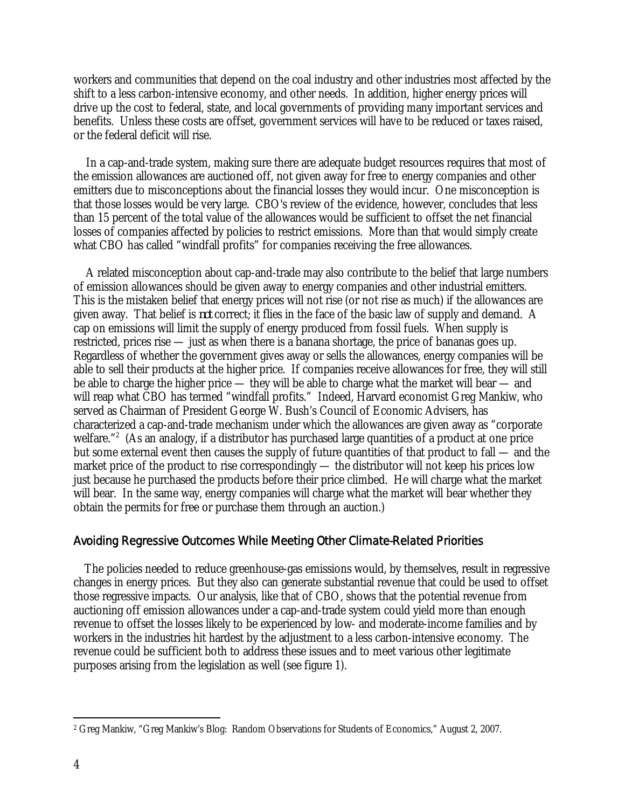workers and communities that depend on the coal industry and other industries most affected by the shift to a less carbon-intensive economy, and other needs. In addition, higher energy prices will drive up the cost to federal, state, and local governments of providing many important services and benefits. Unless these costs are offset, government services will have to be reduced or taxes raised, or the federal deficit will rise.

 In a cap-and-trade system, making sure there are adequate budget resources requires that most of the emission allowances are auctioned off, not given away for free to energy companies and other emitters due to misconceptions about the financial losses they would incur. One misconception is that those losses would be very large. CBO's review of the evidence, however, concludes that less than 15 percent of the total value of the allowances would be sufficient to offset the net financial losses of companies affected by policies to restrict emissions. More than that would simply create what CBO has called "windfall profits" for companies receiving the free allowances.

 A related misconception about cap-and-trade may also contribute to the belief that large numbers of emission allowances should be given away to energy companies and other industrial emitters. This is the mistaken belief that energy prices will not rise (or not rise as much) if the allowances are given away. That belief is *not* correct; it flies in the face of the basic law of supply and demand. A cap on emissions will limit the supply of energy produced from fossil fuels. When supply is restricted, prices rise — just as when there is a banana shortage, the price of bananas goes up. Regardless of whether the government gives away or sells the allowances, energy companies will be able to sell their products at the higher price. If companies receive allowances for free, they will still be able to charge the higher price — they will be able to charge what the market will bear — and will reap what CBO has termed "windfall profits." Indeed, Harvard economist Greg Mankiw, who served as Chairman of President George W. Bush's Council of Economic Advisers, has characterized a cap-and-trade mechanism under which the allowances are given away as "corporate welfare."<sup>2</sup> (As an analogy, if a distributor has purchased large quantities of a product at one price but some external event then causes the supply of future quantities of that product to fall — and the market price of the product to rise correspondingly — the distributor will not keep his prices low just because he purchased the products before their price climbed. He will charge what the market will bear. In the same way, energy companies will charge what the market will bear whether they obtain the permits for free or purchase them through an auction.)

#### Avoiding Regressive Outcomes While Meeting Other Climate-Related Priorities

 The policies needed to reduce greenhouse-gas emissions would, by themselves, result in regressive changes in energy prices. But they also can generate substantial revenue that could be used to offset those regressive impacts. Our analysis, like that of CBO, shows that the potential revenue from auctioning off emission allowances under a cap-and-trade system could yield more than enough revenue to offset the losses likely to be experienced by low- and moderate-income families and by workers in the industries hit hardest by the adjustment to a less carbon-intensive economy. The revenue could be sufficient both to address these issues and to meet various other legitimate purposes arising from the legislation as well (see figure 1).

 $\overline{a}$ 

<sup>2</sup> Greg Mankiw, "Greg Mankiw's Blog: Random Observations for Students of Economics," August 2, 2007.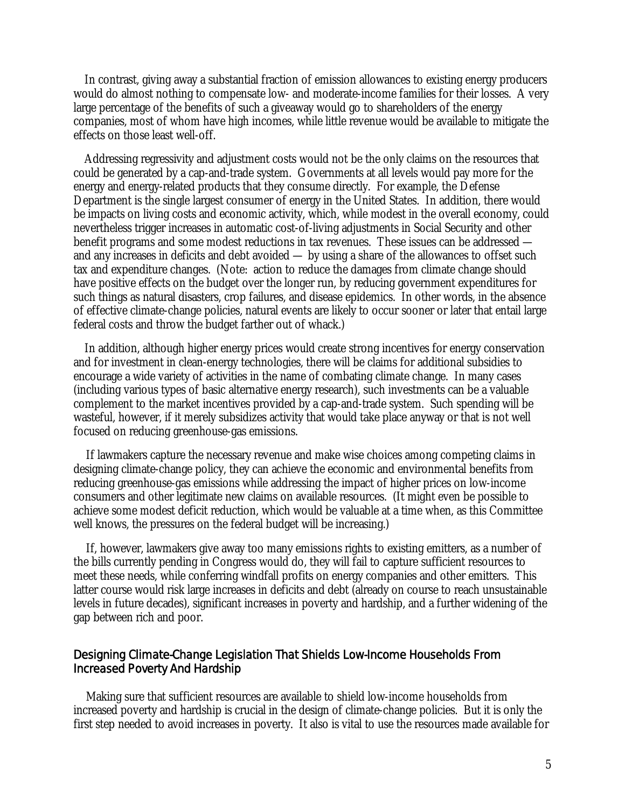In contrast, giving away a substantial fraction of emission allowances to existing energy producers would do almost nothing to compensate low- and moderate-income families for their losses. A very large percentage of the benefits of such a giveaway would go to shareholders of the energy companies, most of whom have high incomes, while little revenue would be available to mitigate the effects on those least well-off.

 Addressing regressivity and adjustment costs would not be the only claims on the resources that could be generated by a cap-and-trade system. Governments at all levels would pay more for the energy and energy-related products that they consume directly. For example, the Defense Department is the single largest consumer of energy in the United States. In addition, there would be impacts on living costs and economic activity, which, while modest in the overall economy, could nevertheless trigger increases in automatic cost-of-living adjustments in Social Security and other benefit programs and some modest reductions in tax revenues. These issues can be addressed and any increases in deficits and debt avoided — by using a share of the allowances to offset such tax and expenditure changes. (Note: action to reduce the damages from climate change should have positive effects on the budget over the longer run, by reducing government expenditures for such things as natural disasters, crop failures, and disease epidemics. In other words, in the absence of effective climate-change policies, natural events are likely to occur sooner or later that entail large federal costs and throw the budget farther out of whack.)

 In addition, although higher energy prices would create strong incentives for energy conservation and for investment in clean-energy technologies, there will be claims for additional subsidies to encourage a wide variety of activities in the name of combating climate change. In many cases (including various types of basic alternative energy research), such investments can be a valuable complement to the market incentives provided by a cap-and-trade system. Such spending will be wasteful, however, if it merely subsidizes activity that would take place anyway or that is not well focused on reducing greenhouse-gas emissions.

 If lawmakers capture the necessary revenue and make wise choices among competing claims in designing climate-change policy, they can achieve the economic and environmental benefits from reducing greenhouse-gas emissions while addressing the impact of higher prices on low-income consumers and other legitimate new claims on available resources. (It might even be possible to achieve some modest deficit reduction, which would be valuable at a time when, as this Committee well knows, the pressures on the federal budget will be increasing.)

 If, however, lawmakers give away too many emissions rights to existing emitters, as a number of the bills currently pending in Congress would do, they will fail to capture sufficient resources to meet these needs, while conferring windfall profits on energy companies and other emitters. This latter course would risk large increases in deficits and debt (already on course to reach unsustainable levels in future decades), significant increases in poverty and hardship, and a further widening of the gap between rich and poor.

#### Designing Climate-Change Legislation That Shields Low-Income Households From Increased Poverty And Hardship

 Making sure that sufficient resources are available to shield low-income households from increased poverty and hardship is crucial in the design of climate-change policies. But it is only the first step needed to avoid increases in poverty. It also is vital to use the resources made available for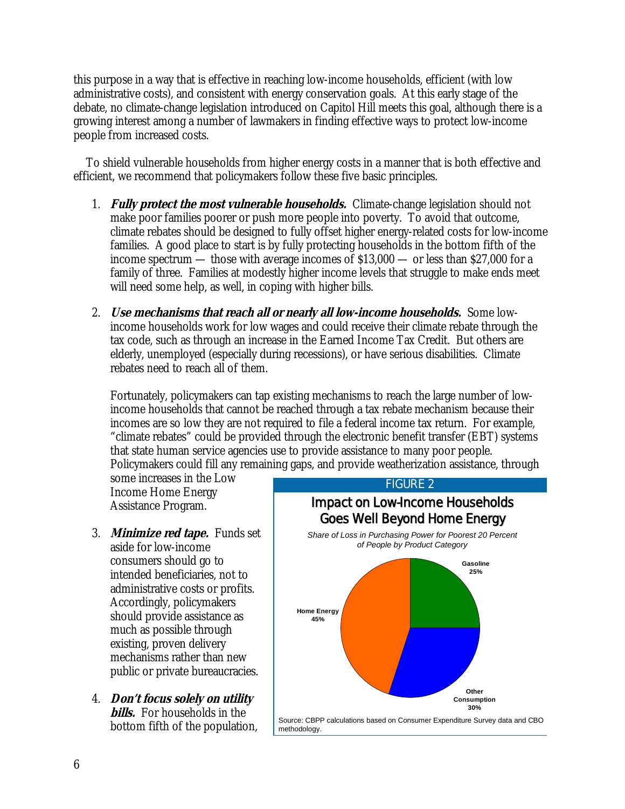this purpose in a way that is effective in reaching low-income households, efficient (with low administrative costs), and consistent with energy conservation goals. At this early stage of the debate, no climate-change legislation introduced on Capitol Hill meets this goal, although there is a growing interest among a number of lawmakers in finding effective ways to protect low-income people from increased costs.

 To shield vulnerable households from higher energy costs in a manner that is both effective and efficient, we recommend that policymakers follow these five basic principles.

- 1. **Fully protect the most vulnerable households.** Climate-change legislation should not make poor families poorer or push more people into poverty. To avoid that outcome, climate rebates should be designed to fully offset higher energy-related costs for low-income families. A good place to start is by fully protecting households in the bottom fifth of the income spectrum — those with average incomes of \$13,000 — or less than \$27,000 for a family of three. Families at modestly higher income levels that struggle to make ends meet will need some help, as well, in coping with higher bills.
- 2. **Use mechanisms that reach all or nearly all low-income households.** Some lowincome households work for low wages and could receive their climate rebate through the tax code, such as through an increase in the Earned Income Tax Credit. But others are elderly, unemployed (especially during recessions), or have serious disabilities. Climate rebates need to reach all of them.

Fortunately, policymakers can tap existing mechanisms to reach the large number of lowincome households that cannot be reached through a tax rebate mechanism because their incomes are so low they are not required to file a federal income tax return. For example, "climate rebates" could be provided through the electronic benefit transfer (EBT) systems that state human service agencies use to provide assistance to many poor people. Policymakers could fill any remaining gaps, and provide weatherization assistance, through

some increases in the Low Income Home Energy Assistance Program.

- 3. **Minimize red tape.** Funds set aside for low-income consumers should go to intended beneficiaries, not to administrative costs or profits. Accordingly, policymakers should provide assistance as much as possible through existing, proven delivery mechanisms rather than new public or private bureaucracies.
- 4. **Don't focus solely on utility bills.** For households in the bottom fifth of the population,



Source: CBPP calculations based on Consumer Expenditure Survey data and CBO methodology.